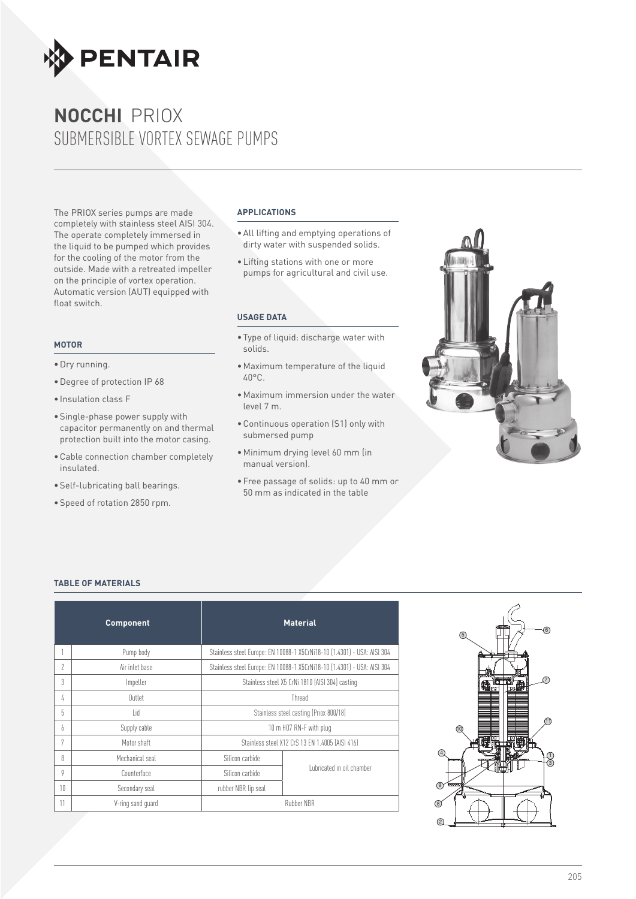

The PRIOX series pumps are made completely with stainless steel AISI 304. The operate completely immersed in the liquid to be pumped which provides for the cooling of the motor from the outside. Made with a retreated impeller on the principle of vortex operation. Automatic version (AUT) equipped with float switch.

#### **motor**

- •Dry running.
- •Degree of protection IP 68
- Insulation class F
- •Single-phase power supply with capacitor permanently on and thermal protection built into the motor casing.
- •Cable connection chamber completely insulated.
- •Self-lubricating ball bearings.
- •Speed of rotation 2850 rpm.

#### **APPLICATIONS**

- •All lifting and emptying operations of dirty water with suspended solids.
- •Lifting stations with one or more pumps for agricultural and civil use.

#### **USAGE DATA**

- •Type of liquid: discharge water with solids.
- •Maximum temperature of the liquid 40°C.
- •Maximum immersion under the water level 7 m.
- •Continuous operation (S1) only with submersed pump
- •Minimum drying level 60 mm (in manual version).
- •Free passage of solids: up to 40 mm or 50 mm as indicated in the table



#### **TABLE OF MATERIALS**

|    | <b>Component</b>  | <b>Material</b>                                 |                                                                         |  |  |  |  |  |
|----|-------------------|-------------------------------------------------|-------------------------------------------------------------------------|--|--|--|--|--|
|    | Pump body         |                                                 | Stainless steel Europe: EN 10088-1 X5CrNi18-10 (1.4301) - USA: AISI 304 |  |  |  |  |  |
| 2  | Air inlet base    |                                                 | Stainless steel Europe: EN 10088-1 X5CrNi18-10 (1.4301) - USA: AISI 304 |  |  |  |  |  |
| 3  | Impeller          | Stainless steel X5 CrNi 1810 (AISI 304) casting |                                                                         |  |  |  |  |  |
| 4  | Outlet            | Thread                                          |                                                                         |  |  |  |  |  |
| 5  | l id              | Stainless steel casting (Priox 800/18)          |                                                                         |  |  |  |  |  |
| 6  | Supply cable      | 10 m HO7 RN-F with plug                         |                                                                         |  |  |  |  |  |
| 7  | Motor shaft       |                                                 | Stainless steel X12 CrS 13 EN 1.4005 (AISI 416)                         |  |  |  |  |  |
| 8  | Mechanical seal   | Silicon carbide                                 |                                                                         |  |  |  |  |  |
| 9  | Counterface       | Silicon carbide                                 | Lubricated in oil chamber                                               |  |  |  |  |  |
| 10 | Secondary seal    | rubber NBR lip seal                             |                                                                         |  |  |  |  |  |
| 11 | V-ring sand guard |                                                 | <b>Rubber NBR</b>                                                       |  |  |  |  |  |

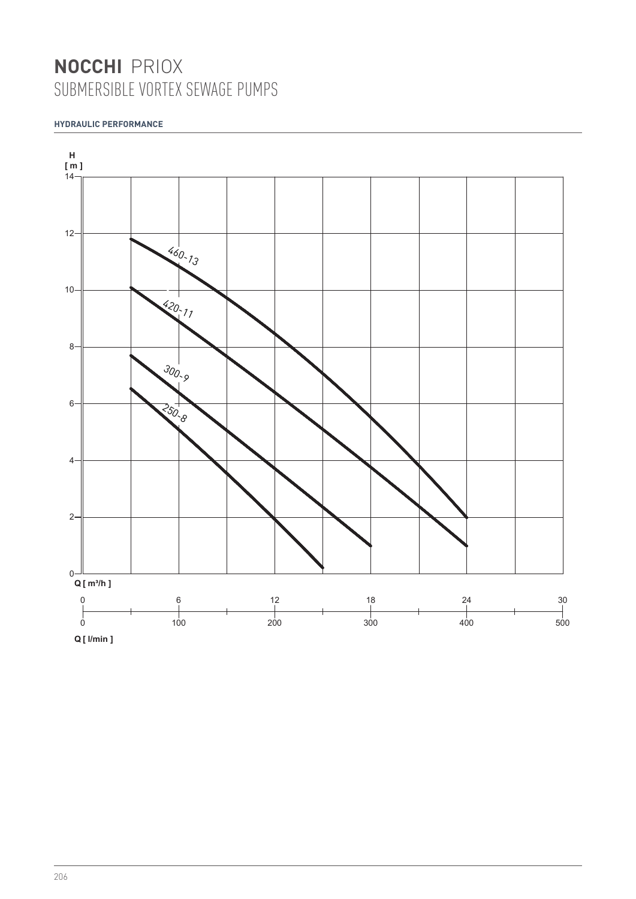## **HYDRAULIC PERFORMANCE**

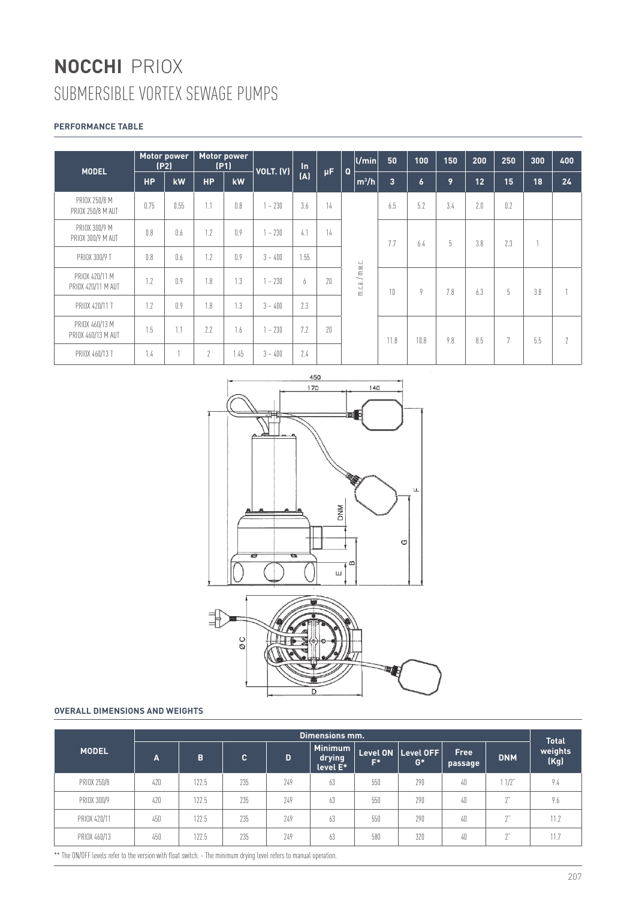## **PERFORMANCE TABLE**

|                                      | Motor power<br>(P2) |      | Motor power<br>(P1) |      | $\ln$     |               |     |              | $ $ U/min       | 50              | 100              | 150 | 200 | 250 | 300 | 400      |
|--------------------------------------|---------------------|------|---------------------|------|-----------|---------------|-----|--------------|-----------------|-----------------|------------------|-----|-----|-----|-----|----------|
| <b>MODEL</b>                         | <b>HP</b>           | kW   | <b>HP</b>           | kW   | VOLT. (V) | (A)           | μF. | $\mathbf{Q}$ | $ m^3/h $       | $\vert 3 \vert$ | $\boldsymbol{6}$ | 9   | 12  | 15  | 18  | 24       |
| PRIOX 250/8 M<br>PRIOX 250/8 M AUT   | 0.75                | 0.55 | 1.1                 | 0.8  | $1 - 230$ | 3.6           | 14  |              |                 | 6.5             | 5.2              | 3.4 | 2.0 | 0.2 |     |          |
| PRIOX 300/9 M<br>PRIOX 300/9 M AUT   | 0.8                 | 0.6  | 1.7                 | 0.9  | $-230$    | 4.1           | 14  |              |                 | 7.7             | 6.4              | 5   | 3.8 | 2.3 |     |          |
| PRIOX 300/9 T                        | 0.8                 | 0.6  | 1.2                 | 0.9  | $3 - 400$ | 1.55          |     |              |                 |                 |                  |     |     |     |     |          |
| PRIOX 420/11 M<br>PRIOX 420/11 M AUT | 1.2                 | 0.9  | 1.8                 | 1.3  | ~1230     | $\mathfrak b$ | 20  |              | m.c.a. / m.w.c. | 10              | 9                | 7.8 | 6.3 | 5   | 3.8 |          |
| PRIOX 420/11 T                       | 1.2                 | 0.9  | 1.8                 | 1.3  | $3 - 400$ | 2.3           |     |              |                 |                 |                  |     |     |     |     |          |
| PRIOX 460/13 M<br>PRIOX 460/13 M AUT | 1.5                 | 1.1  | 7.7                 | 1.6  | ~1230     | 7.2           | 20  |              |                 | 11.8            | 10.8             | 9.8 | 8.5 | 7   | 5.5 | $\gamma$ |
| PRIOX 460/13 T                       | 1.4                 |      | $\mathfrak{2}$      | 1.45 | $3 - 400$ | 7.4           |     |              |                 |                 |                  |     |     |     |     |          |





#### **OVERALL DIMENSIONS AND WEIGHTS**

|              | Dimensions mm. |       |     |     |                                      |                          |                    |                 |            |                                 |  |  |  |  |
|--------------|----------------|-------|-----|-----|--------------------------------------|--------------------------|--------------------|-----------------|------------|---------------------------------|--|--|--|--|
| <b>MODEL</b> | A              | B     | C.  | D   | <b>Minimum</b><br>drying<br>level E* | <b>Level ON</b><br>$F^*$ | Level OFF<br>$G^*$ | Free<br>passage | <b>DNM</b> | <b>Total</b><br>weights<br>(Kg) |  |  |  |  |
| PRIOX 250/8  | 420            | 122.5 | 235 | 749 | 63                                   | 550                      | 290                | 40              | $1/2$ "    | 9.4                             |  |  |  |  |
| PRIOX 300/9  | 420            | 122.5 | 235 | 749 | 63                                   | 550                      | 290                | 40              | $\gamma$ " | 9.6                             |  |  |  |  |
| PRIOX 420/11 | 450            | 122.5 | 235 | 749 | 63                                   | 550                      | 290                | 40              | 2"         | 11.2                            |  |  |  |  |
| PRIOX 460/13 | 450            | 122.5 | 235 | 249 | 63                                   | 580                      | 320                | 40              | $\gamma$ " | 11.7                            |  |  |  |  |

\*\* The ON/OFF levels refer to the version with float switch. - The minimum drying level refers to manual operation.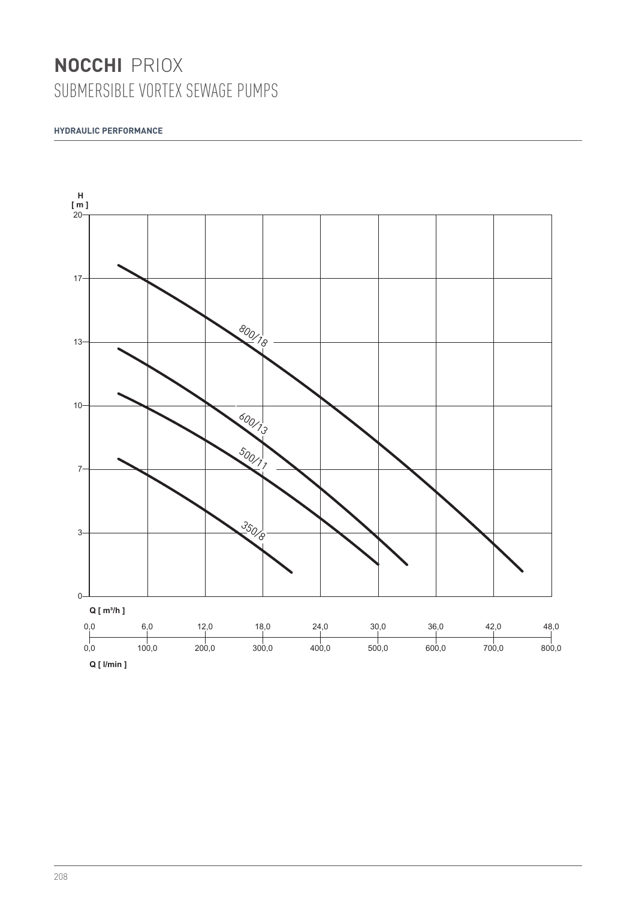### **HYDRAULIC PERFORMANCE**